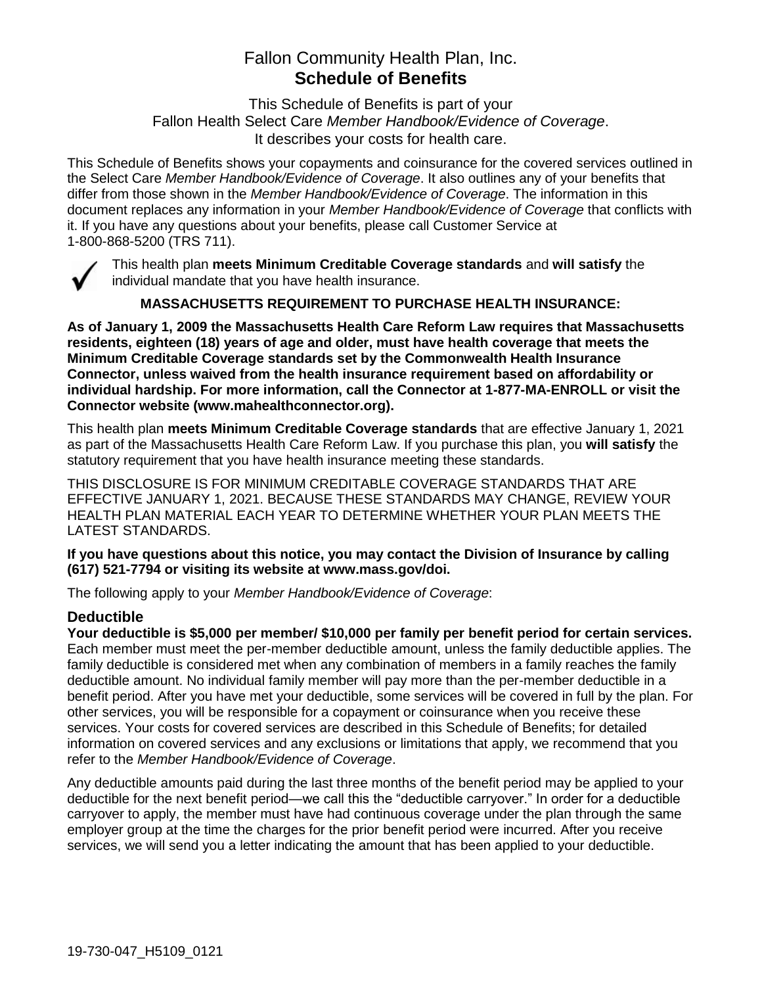# Fallon Community Health Plan, Inc. **Schedule of Benefits**

This Schedule of Benefits is part of your Fallon Health Select Care *Member Handbook/Evidence of Coverage*. It describes your costs for health care.

This Schedule of Benefits shows your copayments and coinsurance for the covered services outlined in the Select Care *Member Handbook/Evidence of Coverage*. It also outlines any of your benefits that differ from those shown in the *Member Handbook/Evidence of Coverage*. The information in this document replaces any information in your *Member Handbook/Evidence of Coverage* that conflicts with it. If you have any questions about your benefits, please call Customer Service at 1-800-868-5200 (TRS 711).



This health plan **meets Minimum Creditable Coverage standards** and **will satisfy** the individual mandate that you have health insurance.

**MASSACHUSETTS REQUIREMENT TO PURCHASE HEALTH INSURANCE:**

**As of January 1, 2009 the Massachusetts Health Care Reform Law requires that Massachusetts residents, eighteen (18) years of age and older, must have health coverage that meets the Minimum Creditable Coverage standards set by the Commonwealth Health Insurance Connector, unless waived from the health insurance requirement based on affordability or individual hardship. For more information, call the Connector at 1-877-MA-ENROLL or visit the Connector website (www.mahealthconnector.org).**

This health plan **meets Minimum Creditable Coverage standards** that are effective January 1, 2021 as part of the Massachusetts Health Care Reform Law. If you purchase this plan, you **will satisfy** the statutory requirement that you have health insurance meeting these standards.

THIS DISCLOSURE IS FOR MINIMUM CREDITABLE COVERAGE STANDARDS THAT ARE EFFECTIVE JANUARY 1, 2021. BECAUSE THESE STANDARDS MAY CHANGE, REVIEW YOUR HEALTH PLAN MATERIAL EACH YEAR TO DETERMINE WHETHER YOUR PLAN MEETS THE LATEST STANDARDS.

**If you have questions about this notice, you may contact the Division of Insurance by calling (617) 521-7794 or visiting its website at www.mass.gov/doi.** 

The following apply to your *Member Handbook/Evidence of Coverage*:

## **Deductible**

**Your deductible is \$5,000 per member/ \$10,000 per family per benefit period for certain services.** Each member must meet the per-member deductible amount, unless the family deductible applies. The family deductible is considered met when any combination of members in a family reaches the family deductible amount. No individual family member will pay more than the per-member deductible in a benefit period. After you have met your deductible, some services will be covered in full by the plan. For other services, you will be responsible for a copayment or coinsurance when you receive these services. Your costs for covered services are described in this Schedule of Benefits; for detailed information on covered services and any exclusions or limitations that apply, we recommend that you refer to the *Member Handbook/Evidence of Coverage*.

Any deductible amounts paid during the last three months of the benefit period may be applied to your deductible for the next benefit period—we call this the "deductible carryover." In order for a deductible carryover to apply, the member must have had continuous coverage under the plan through the same employer group at the time the charges for the prior benefit period were incurred. After you receive services, we will send you a letter indicating the amount that has been applied to your deductible.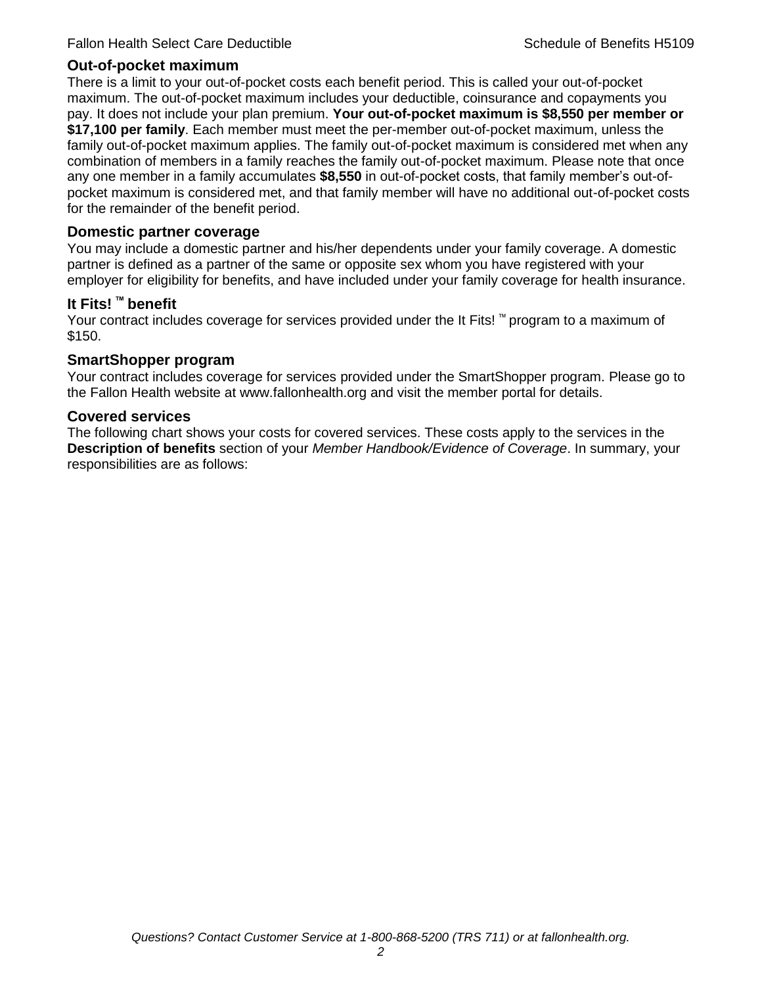#### **Out-of-pocket maximum**

There is a limit to your out-of-pocket costs each benefit period. This is called your out-of-pocket maximum. The out-of-pocket maximum includes your deductible, coinsurance and copayments you pay. It does not include your plan premium. **Your out-of-pocket maximum is \$8,550 per member or \$17,100 per family**. Each member must meet the per-member out-of-pocket maximum, unless the family out-of-pocket maximum applies. The family out-of-pocket maximum is considered met when any combination of members in a family reaches the family out-of-pocket maximum. Please note that once any one member in a family accumulates **\$8,550** in out-of-pocket costs, that family member's out-ofpocket maximum is considered met, and that family member will have no additional out-of-pocket costs for the remainder of the benefit period.

#### **Domestic partner coverage**

You may include a domestic partner and his/her dependents under your family coverage. A domestic partner is defined as a partner of the same or opposite sex whom you have registered with your employer for eligibility for benefits, and have included under your family coverage for health insurance.

#### **It Fits! ™ benefit**

Your contract includes coverage for services provided under the It Fits! ™ program to a maximum of \$150.

#### **SmartShopper program**

Your contract includes coverage for services provided under the SmartShopper program. Please go to the Fallon Health website at www.fallonhealth.org and visit the member portal for details.

#### **Covered services**

The following chart shows your costs for covered services. These costs apply to the services in the **Description of benefits** section of your *Member Handbook/Evidence of Coverage*. In summary, your responsibilities are as follows: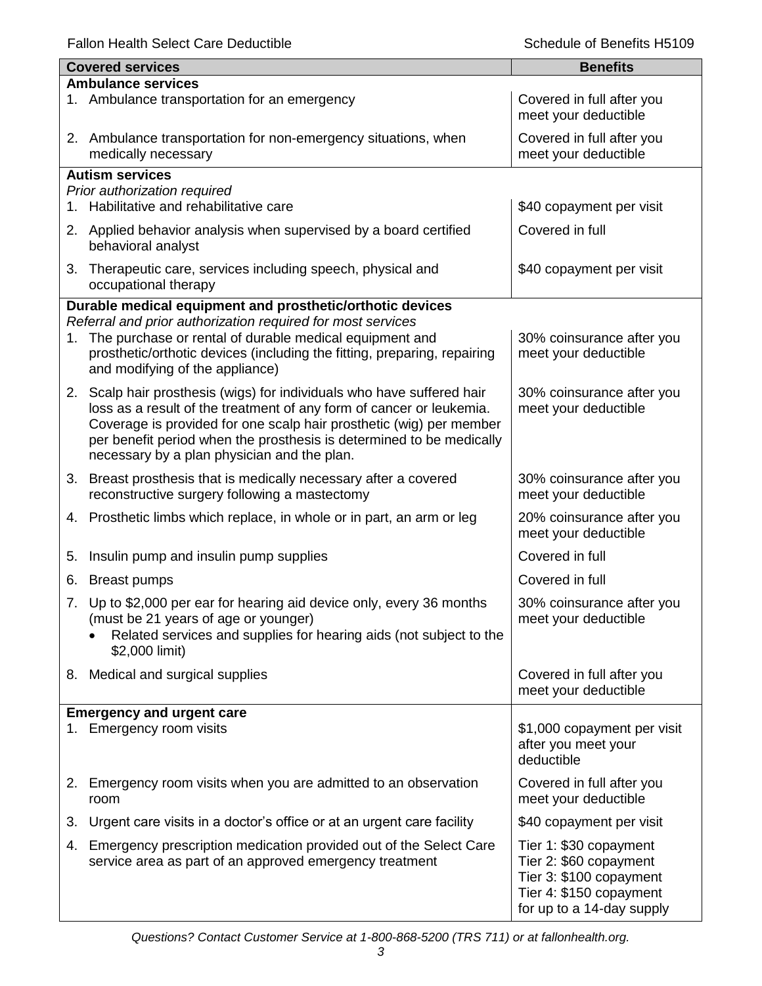|    | <b>Covered services</b>                                                                                                                                                                                                                                                                                                                      | <b>Benefits</b>                                                                                                                     |
|----|----------------------------------------------------------------------------------------------------------------------------------------------------------------------------------------------------------------------------------------------------------------------------------------------------------------------------------------------|-------------------------------------------------------------------------------------------------------------------------------------|
|    | <b>Ambulance services</b>                                                                                                                                                                                                                                                                                                                    |                                                                                                                                     |
|    | 1. Ambulance transportation for an emergency                                                                                                                                                                                                                                                                                                 | Covered in full after you<br>meet your deductible                                                                                   |
|    | 2. Ambulance transportation for non-emergency situations, when<br>medically necessary                                                                                                                                                                                                                                                        | Covered in full after you<br>meet your deductible                                                                                   |
|    | <b>Autism services</b>                                                                                                                                                                                                                                                                                                                       |                                                                                                                                     |
|    | Prior authorization required                                                                                                                                                                                                                                                                                                                 |                                                                                                                                     |
| 1. | Habilitative and rehabilitative care                                                                                                                                                                                                                                                                                                         | \$40 copayment per visit                                                                                                            |
|    | 2. Applied behavior analysis when supervised by a board certified<br>behavioral analyst                                                                                                                                                                                                                                                      | Covered in full                                                                                                                     |
| 3. | Therapeutic care, services including speech, physical and<br>occupational therapy                                                                                                                                                                                                                                                            | \$40 copayment per visit                                                                                                            |
|    | Durable medical equipment and prosthetic/orthotic devices                                                                                                                                                                                                                                                                                    |                                                                                                                                     |
|    | Referral and prior authorization required for most services                                                                                                                                                                                                                                                                                  |                                                                                                                                     |
|    | 1. The purchase or rental of durable medical equipment and<br>prosthetic/orthotic devices (including the fitting, preparing, repairing<br>and modifying of the appliance)                                                                                                                                                                    | 30% coinsurance after you<br>meet your deductible                                                                                   |
|    | 2. Scalp hair prosthesis (wigs) for individuals who have suffered hair<br>loss as a result of the treatment of any form of cancer or leukemia.<br>Coverage is provided for one scalp hair prosthetic (wig) per member<br>per benefit period when the prosthesis is determined to be medically<br>necessary by a plan physician and the plan. | 30% coinsurance after you<br>meet your deductible                                                                                   |
| 3. | Breast prosthesis that is medically necessary after a covered<br>reconstructive surgery following a mastectomy                                                                                                                                                                                                                               | 30% coinsurance after you<br>meet your deductible                                                                                   |
|    | 4. Prosthetic limbs which replace, in whole or in part, an arm or leg                                                                                                                                                                                                                                                                        | 20% coinsurance after you<br>meet your deductible                                                                                   |
| 5. | Insulin pump and insulin pump supplies                                                                                                                                                                                                                                                                                                       | Covered in full                                                                                                                     |
| 6. | <b>Breast pumps</b>                                                                                                                                                                                                                                                                                                                          | Covered in full                                                                                                                     |
|    | 7. Up to \$2,000 per ear for hearing aid device only, every 36 months<br>(must be 21 years of age or younger)<br>Related services and supplies for hearing aids (not subject to the                                                                                                                                                          | 30% coinsurance after you<br>meet your deductible                                                                                   |
|    | \$2,000 limit)                                                                                                                                                                                                                                                                                                                               |                                                                                                                                     |
|    | 8. Medical and surgical supplies                                                                                                                                                                                                                                                                                                             | Covered in full after you<br>meet your deductible                                                                                   |
|    | <b>Emergency and urgent care</b>                                                                                                                                                                                                                                                                                                             |                                                                                                                                     |
|    | 1. Emergency room visits                                                                                                                                                                                                                                                                                                                     | \$1,000 copayment per visit<br>after you meet your<br>deductible                                                                    |
|    | 2. Emergency room visits when you are admitted to an observation<br>room                                                                                                                                                                                                                                                                     | Covered in full after you<br>meet your deductible                                                                                   |
| 3. | Urgent care visits in a doctor's office or at an urgent care facility                                                                                                                                                                                                                                                                        | \$40 copayment per visit                                                                                                            |
| 4. | Emergency prescription medication provided out of the Select Care<br>service area as part of an approved emergency treatment                                                                                                                                                                                                                 | Tier 1: \$30 copayment<br>Tier 2: \$60 copayment<br>Tier 3: \$100 copayment<br>Tier 4: \$150 copayment<br>for up to a 14-day supply |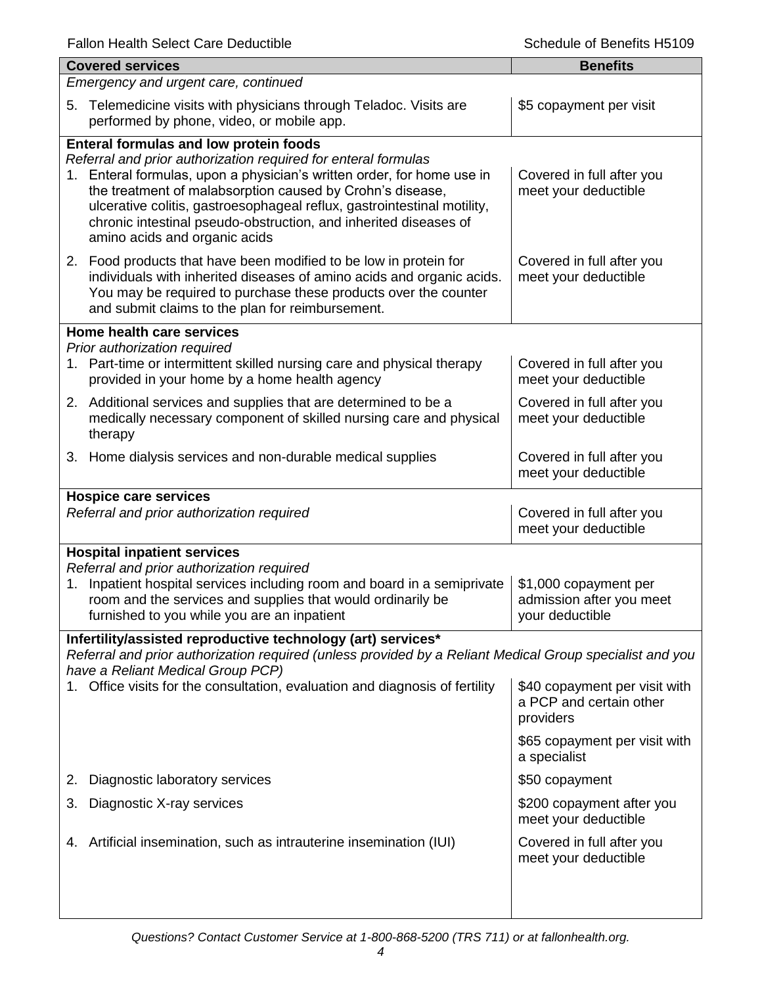|                                      | <b>Covered services</b>                                                                                                                                                                                                                                                                                                                                                                                                                | <b>Benefits</b>                                                       |  |
|--------------------------------------|----------------------------------------------------------------------------------------------------------------------------------------------------------------------------------------------------------------------------------------------------------------------------------------------------------------------------------------------------------------------------------------------------------------------------------------|-----------------------------------------------------------------------|--|
| Emergency and urgent care, continued |                                                                                                                                                                                                                                                                                                                                                                                                                                        |                                                                       |  |
| 5.                                   | Telemedicine visits with physicians through Teladoc. Visits are<br>performed by phone, video, or mobile app.                                                                                                                                                                                                                                                                                                                           | \$5 copayment per visit                                               |  |
|                                      | <b>Enteral formulas and low protein foods</b><br>Referral and prior authorization required for enteral formulas<br>1. Enteral formulas, upon a physician's written order, for home use in<br>the treatment of malabsorption caused by Crohn's disease,<br>ulcerative colitis, gastroesophageal reflux, gastrointestinal motility,<br>chronic intestinal pseudo-obstruction, and inherited diseases of<br>amino acids and organic acids | Covered in full after you<br>meet your deductible                     |  |
|                                      | 2. Food products that have been modified to be low in protein for<br>individuals with inherited diseases of amino acids and organic acids.<br>You may be required to purchase these products over the counter<br>and submit claims to the plan for reimbursement.                                                                                                                                                                      | Covered in full after you<br>meet your deductible                     |  |
|                                      | Home health care services                                                                                                                                                                                                                                                                                                                                                                                                              |                                                                       |  |
| 1.                                   | Prior authorization required<br>Part-time or intermittent skilled nursing care and physical therapy<br>provided in your home by a home health agency                                                                                                                                                                                                                                                                                   | Covered in full after you<br>meet your deductible                     |  |
|                                      | 2. Additional services and supplies that are determined to be a<br>medically necessary component of skilled nursing care and physical<br>therapy                                                                                                                                                                                                                                                                                       | Covered in full after you<br>meet your deductible                     |  |
|                                      | 3. Home dialysis services and non-durable medical supplies                                                                                                                                                                                                                                                                                                                                                                             | Covered in full after you<br>meet your deductible                     |  |
|                                      | <b>Hospice care services</b><br>Referral and prior authorization required                                                                                                                                                                                                                                                                                                                                                              | Covered in full after you<br>meet your deductible                     |  |
|                                      | <b>Hospital inpatient services</b>                                                                                                                                                                                                                                                                                                                                                                                                     |                                                                       |  |
| 1.                                   | Referral and prior authorization required<br>Inpatient hospital services including room and board in a semiprivate<br>room and the services and supplies that would ordinarily be<br>furnished to you while you are an inpatient                                                                                                                                                                                                       | \$1,000 copayment per<br>admission after you meet<br>your deductible  |  |
|                                      | Infertility/assisted reproductive technology (art) services*<br>Referral and prior authorization required (unless provided by a Reliant Medical Group specialist and you<br>have a Reliant Medical Group PCP)                                                                                                                                                                                                                          |                                                                       |  |
|                                      | Office visits for the consultation, evaluation and diagnosis of fertility                                                                                                                                                                                                                                                                                                                                                              | \$40 copayment per visit with<br>a PCP and certain other<br>providers |  |
|                                      |                                                                                                                                                                                                                                                                                                                                                                                                                                        | \$65 copayment per visit with<br>a specialist                         |  |
| 2.                                   | Diagnostic laboratory services                                                                                                                                                                                                                                                                                                                                                                                                         | \$50 copayment                                                        |  |
| 3.                                   | Diagnostic X-ray services                                                                                                                                                                                                                                                                                                                                                                                                              | \$200 copayment after you<br>meet your deductible                     |  |
| 4.                                   | Artificial insemination, such as intrauterine insemination (IUI)                                                                                                                                                                                                                                                                                                                                                                       | Covered in full after you<br>meet your deductible                     |  |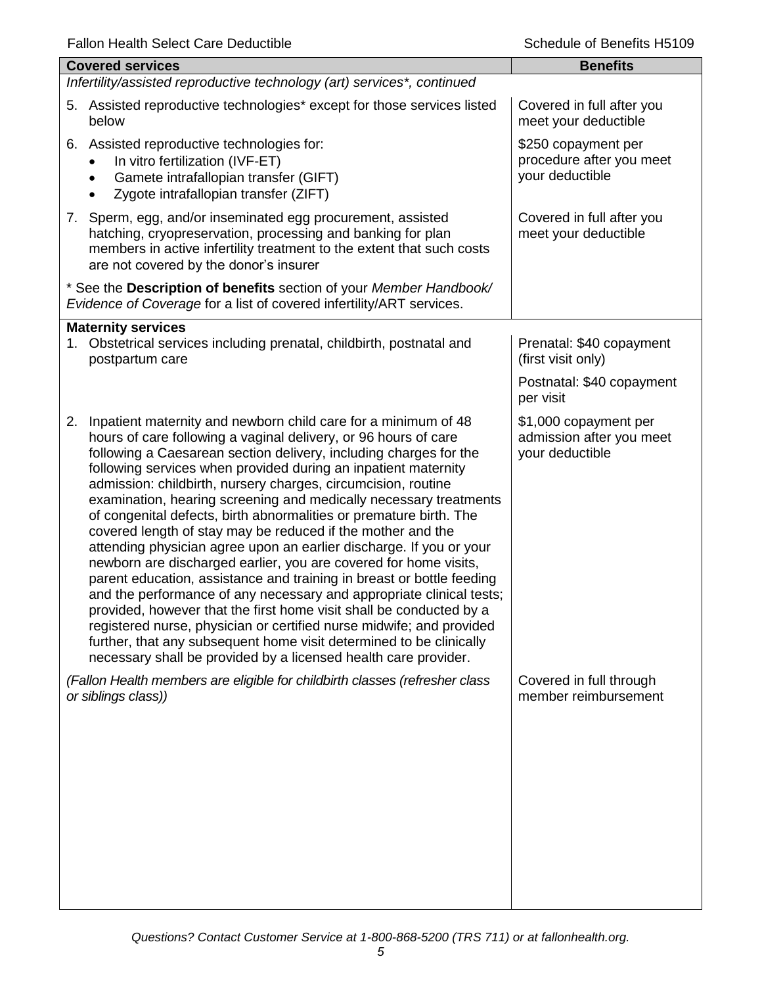| <b>Benefits</b>                                                         |  |  |  |
|-------------------------------------------------------------------------|--|--|--|
| Infertility/assisted reproductive technology (art) services*, continued |  |  |  |
| Covered in full after you<br>meet your deductible                       |  |  |  |
| \$250 copayment per<br>procedure after you meet<br>your deductible      |  |  |  |
| Covered in full after you<br>meet your deductible                       |  |  |  |
|                                                                         |  |  |  |
|                                                                         |  |  |  |
| Prenatal: \$40 copayment<br>(first visit only)                          |  |  |  |
| Postnatal: \$40 copayment<br>per visit                                  |  |  |  |
| \$1,000 copayment per<br>admission after you meet<br>your deductible    |  |  |  |
| Covered in full through<br>member reimbursement                         |  |  |  |
|                                                                         |  |  |  |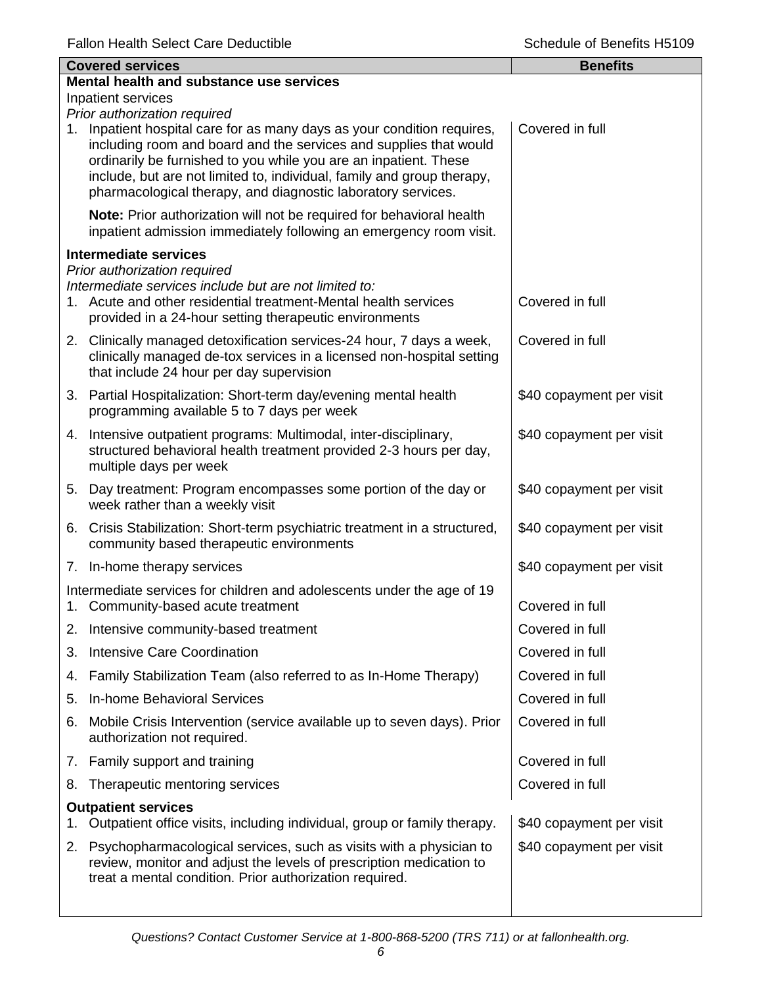|    | <b>Covered services</b>                                                                                                                                                                                                                                                                                                                                 | <b>Benefits</b>          |  |  |
|----|---------------------------------------------------------------------------------------------------------------------------------------------------------------------------------------------------------------------------------------------------------------------------------------------------------------------------------------------------------|--------------------------|--|--|
|    | Mental health and substance use services                                                                                                                                                                                                                                                                                                                |                          |  |  |
|    | Inpatient services<br>Prior authorization required                                                                                                                                                                                                                                                                                                      |                          |  |  |
| 1. | Inpatient hospital care for as many days as your condition requires,<br>including room and board and the services and supplies that would<br>ordinarily be furnished to you while you are an inpatient. These<br>include, but are not limited to, individual, family and group therapy,<br>pharmacological therapy, and diagnostic laboratory services. | Covered in full          |  |  |
|    | Note: Prior authorization will not be required for behavioral health<br>inpatient admission immediately following an emergency room visit.                                                                                                                                                                                                              |                          |  |  |
|    | <b>Intermediate services</b>                                                                                                                                                                                                                                                                                                                            |                          |  |  |
|    | Prior authorization required<br>Intermediate services include but are not limited to:<br>1. Acute and other residential treatment-Mental health services<br>provided in a 24-hour setting therapeutic environments                                                                                                                                      | Covered in full          |  |  |
|    | 2. Clinically managed detoxification services-24 hour, 7 days a week,<br>clinically managed de-tox services in a licensed non-hospital setting<br>that include 24 hour per day supervision                                                                                                                                                              | Covered in full          |  |  |
|    | 3. Partial Hospitalization: Short-term day/evening mental health<br>programming available 5 to 7 days per week                                                                                                                                                                                                                                          | \$40 copayment per visit |  |  |
|    | 4. Intensive outpatient programs: Multimodal, inter-disciplinary,<br>structured behavioral health treatment provided 2-3 hours per day,<br>multiple days per week                                                                                                                                                                                       | \$40 copayment per visit |  |  |
|    | 5. Day treatment: Program encompasses some portion of the day or<br>week rather than a weekly visit                                                                                                                                                                                                                                                     | \$40 copayment per visit |  |  |
|    | 6. Crisis Stabilization: Short-term psychiatric treatment in a structured,<br>community based therapeutic environments                                                                                                                                                                                                                                  | \$40 copayment per visit |  |  |
|    | 7. In-home therapy services                                                                                                                                                                                                                                                                                                                             | \$40 copayment per visit |  |  |
| 1. | Intermediate services for children and adolescents under the age of 19<br>Community-based acute treatment                                                                                                                                                                                                                                               | Covered in full          |  |  |
|    | 2. Intensive community-based treatment                                                                                                                                                                                                                                                                                                                  | Covered in full          |  |  |
| 3. | <b>Intensive Care Coordination</b>                                                                                                                                                                                                                                                                                                                      | Covered in full          |  |  |
| 4. | Family Stabilization Team (also referred to as In-Home Therapy)                                                                                                                                                                                                                                                                                         | Covered in full          |  |  |
| 5. | In-home Behavioral Services                                                                                                                                                                                                                                                                                                                             | Covered in full          |  |  |
| 6. | Mobile Crisis Intervention (service available up to seven days). Prior<br>authorization not required.                                                                                                                                                                                                                                                   | Covered in full          |  |  |
|    | 7. Family support and training                                                                                                                                                                                                                                                                                                                          | Covered in full          |  |  |
| 8. | Therapeutic mentoring services                                                                                                                                                                                                                                                                                                                          | Covered in full          |  |  |
|    | <b>Outpatient services</b><br>Outpatient office visits, including individual, group or family therapy.                                                                                                                                                                                                                                                  | \$40 copayment per visit |  |  |
| 2. | Psychopharmacological services, such as visits with a physician to<br>review, monitor and adjust the levels of prescription medication to<br>treat a mental condition. Prior authorization required.                                                                                                                                                    | \$40 copayment per visit |  |  |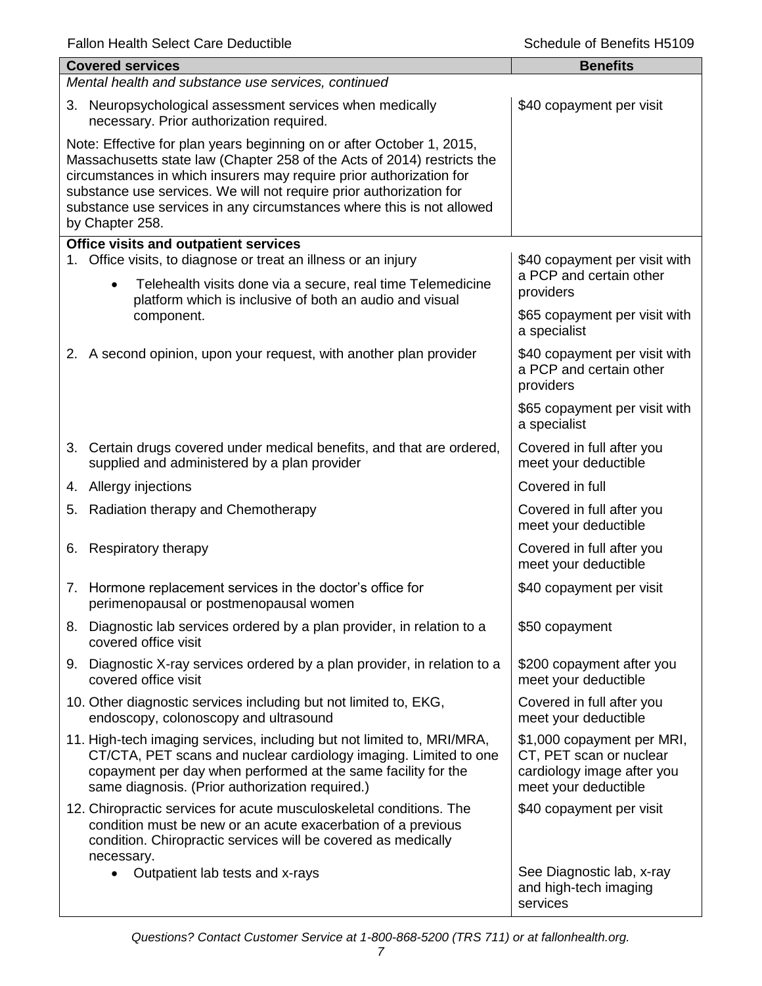|    | <b>Covered services</b>                                                                                                                                                                                                                                                                                                                                                                    | <b>Benefits</b>                                                                                             |  |  |
|----|--------------------------------------------------------------------------------------------------------------------------------------------------------------------------------------------------------------------------------------------------------------------------------------------------------------------------------------------------------------------------------------------|-------------------------------------------------------------------------------------------------------------|--|--|
|    | Mental health and substance use services, continued                                                                                                                                                                                                                                                                                                                                        |                                                                                                             |  |  |
| 3. | Neuropsychological assessment services when medically<br>necessary. Prior authorization required.                                                                                                                                                                                                                                                                                          | \$40 copayment per visit                                                                                    |  |  |
|    | Note: Effective for plan years beginning on or after October 1, 2015,<br>Massachusetts state law (Chapter 258 of the Acts of 2014) restricts the<br>circumstances in which insurers may require prior authorization for<br>substance use services. We will not require prior authorization for<br>substance use services in any circumstances where this is not allowed<br>by Chapter 258. |                                                                                                             |  |  |
|    | Office visits and outpatient services                                                                                                                                                                                                                                                                                                                                                      |                                                                                                             |  |  |
|    | 1. Office visits, to diagnose or treat an illness or an injury<br>Telehealth visits done via a secure, real time Telemedicine<br>$\bullet$<br>platform which is inclusive of both an audio and visual                                                                                                                                                                                      | \$40 copayment per visit with<br>a PCP and certain other<br>providers                                       |  |  |
|    | component.                                                                                                                                                                                                                                                                                                                                                                                 | \$65 copayment per visit with<br>a specialist                                                               |  |  |
|    | 2. A second opinion, upon your request, with another plan provider                                                                                                                                                                                                                                                                                                                         | \$40 copayment per visit with<br>a PCP and certain other<br>providers                                       |  |  |
|    |                                                                                                                                                                                                                                                                                                                                                                                            | \$65 copayment per visit with<br>a specialist                                                               |  |  |
|    | 3. Certain drugs covered under medical benefits, and that are ordered,<br>supplied and administered by a plan provider                                                                                                                                                                                                                                                                     | Covered in full after you<br>meet your deductible                                                           |  |  |
|    | 4. Allergy injections                                                                                                                                                                                                                                                                                                                                                                      | Covered in full                                                                                             |  |  |
| 5. | Radiation therapy and Chemotherapy                                                                                                                                                                                                                                                                                                                                                         | Covered in full after you<br>meet your deductible                                                           |  |  |
| 6. | Respiratory therapy                                                                                                                                                                                                                                                                                                                                                                        | Covered in full after you<br>meet your deductible                                                           |  |  |
|    | 7. Hormone replacement services in the doctor's office for<br>perimenopausal or postmenopausal women                                                                                                                                                                                                                                                                                       | \$40 copayment per visit                                                                                    |  |  |
| 8. | Diagnostic lab services ordered by a plan provider, in relation to a<br>covered office visit                                                                                                                                                                                                                                                                                               | \$50 copayment                                                                                              |  |  |
| 9. | Diagnostic X-ray services ordered by a plan provider, in relation to a<br>covered office visit                                                                                                                                                                                                                                                                                             | \$200 copayment after you<br>meet your deductible                                                           |  |  |
|    | 10. Other diagnostic services including but not limited to, EKG,<br>endoscopy, colonoscopy and ultrasound                                                                                                                                                                                                                                                                                  | Covered in full after you<br>meet your deductible                                                           |  |  |
|    | 11. High-tech imaging services, including but not limited to, MRI/MRA,<br>CT/CTA, PET scans and nuclear cardiology imaging. Limited to one<br>copayment per day when performed at the same facility for the<br>same diagnosis. (Prior authorization required.)                                                                                                                             | \$1,000 copayment per MRI,<br>CT, PET scan or nuclear<br>cardiology image after you<br>meet your deductible |  |  |
|    | 12. Chiropractic services for acute musculoskeletal conditions. The<br>condition must be new or an acute exacerbation of a previous<br>condition. Chiropractic services will be covered as medically<br>necessary.                                                                                                                                                                         | \$40 copayment per visit                                                                                    |  |  |
|    | Outpatient lab tests and x-rays                                                                                                                                                                                                                                                                                                                                                            | See Diagnostic lab, x-ray<br>and high-tech imaging<br>services                                              |  |  |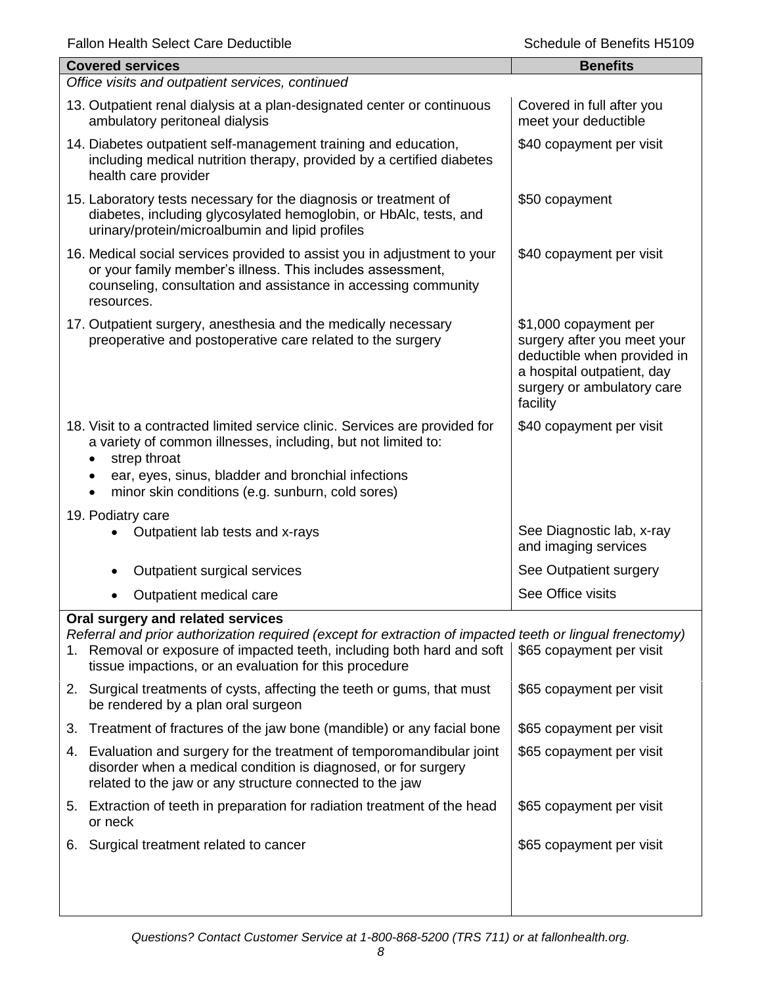| <b>Covered services</b>                                                                                                                                                                                                                                                | <b>Benefits</b>                                                                                                                                             |
|------------------------------------------------------------------------------------------------------------------------------------------------------------------------------------------------------------------------------------------------------------------------|-------------------------------------------------------------------------------------------------------------------------------------------------------------|
| Office visits and outpatient services, continued                                                                                                                                                                                                                       |                                                                                                                                                             |
| 13. Outpatient renal dialysis at a plan-designated center or continuous<br>ambulatory peritoneal dialysis                                                                                                                                                              | Covered in full after you<br>meet your deductible                                                                                                           |
| 14. Diabetes outpatient self-management training and education,<br>including medical nutrition therapy, provided by a certified diabetes<br>health care provider                                                                                                       | \$40 copayment per visit                                                                                                                                    |
| 15. Laboratory tests necessary for the diagnosis or treatment of<br>diabetes, including glycosylated hemoglobin, or HbAlc, tests, and<br>urinary/protein/microalbumin and lipid profiles                                                                               | \$50 copayment                                                                                                                                              |
| 16. Medical social services provided to assist you in adjustment to your<br>or your family member's illness. This includes assessment,<br>counseling, consultation and assistance in accessing community<br>resources.                                                 | \$40 copayment per visit                                                                                                                                    |
| 17. Outpatient surgery, anesthesia and the medically necessary<br>preoperative and postoperative care related to the surgery                                                                                                                                           | \$1,000 copayment per<br>surgery after you meet your<br>deductible when provided in<br>a hospital outpatient, day<br>surgery or ambulatory care<br>facility |
| 18. Visit to a contracted limited service clinic. Services are provided for<br>a variety of common illnesses, including, but not limited to:<br>strep throat<br>ear, eyes, sinus, bladder and bronchial infections<br>minor skin conditions (e.g. sunburn, cold sores) | \$40 copayment per visit                                                                                                                                    |
| 19. Podiatry care                                                                                                                                                                                                                                                      |                                                                                                                                                             |
| Outpatient lab tests and x-rays                                                                                                                                                                                                                                        | See Diagnostic lab, x-ray<br>and imaging services                                                                                                           |
| Outpatient surgical services<br>$\bullet$                                                                                                                                                                                                                              | See Outpatient surgery                                                                                                                                      |
| Outpatient medical care                                                                                                                                                                                                                                                | See Office visits                                                                                                                                           |
| Oral surgery and related services                                                                                                                                                                                                                                      |                                                                                                                                                             |
| Referral and prior authorization required (except for extraction of impacted teeth or lingual frenectomy)<br>1. Removal or exposure of impacted teeth, including both hard and soft<br>tissue impactions, or an evaluation for this procedure                          | \$65 copayment per visit                                                                                                                                    |
| 2. Surgical treatments of cysts, affecting the teeth or gums, that must<br>be rendered by a plan oral surgeon                                                                                                                                                          | \$65 copayment per visit                                                                                                                                    |
| Treatment of fractures of the jaw bone (mandible) or any facial bone<br>3.                                                                                                                                                                                             | \$65 copayment per visit                                                                                                                                    |
| 4. Evaluation and surgery for the treatment of temporomandibular joint<br>disorder when a medical condition is diagnosed, or for surgery<br>related to the jaw or any structure connected to the jaw                                                                   | \$65 copayment per visit                                                                                                                                    |
| 5. Extraction of teeth in preparation for radiation treatment of the head<br>or neck                                                                                                                                                                                   | \$65 copayment per visit                                                                                                                                    |
| Surgical treatment related to cancer<br>6.                                                                                                                                                                                                                             | \$65 copayment per visit                                                                                                                                    |
|                                                                                                                                                                                                                                                                        |                                                                                                                                                             |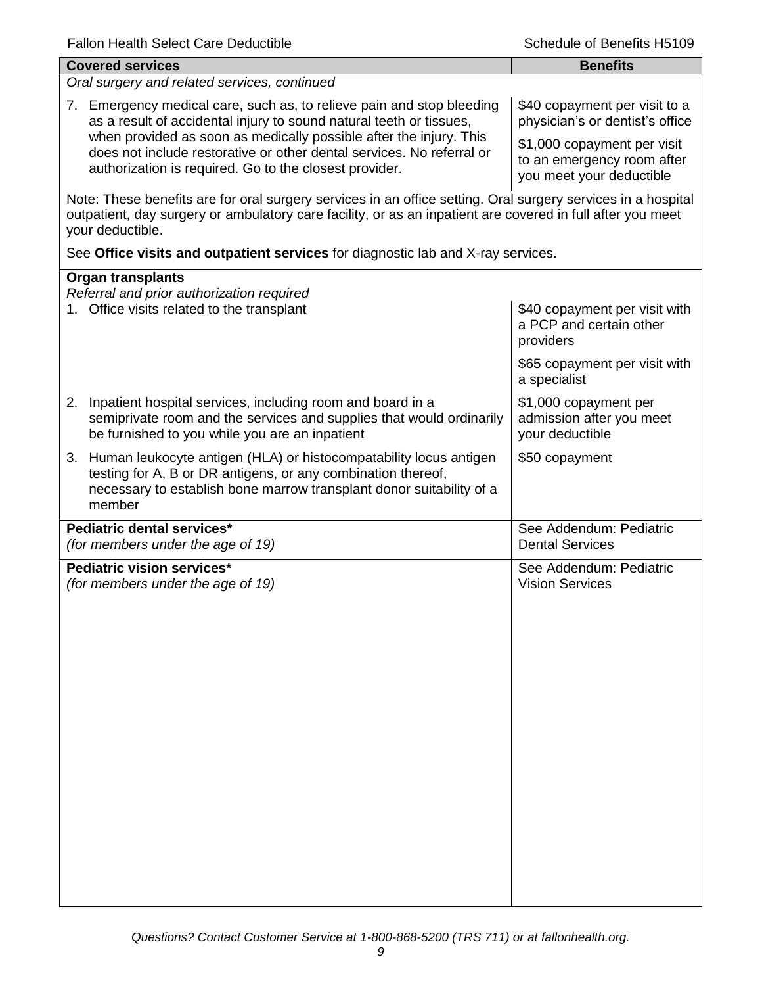| <b>Covered services</b>                                                                                                                                                                                                                        | <b>Benefits</b>                                                                       |  |
|------------------------------------------------------------------------------------------------------------------------------------------------------------------------------------------------------------------------------------------------|---------------------------------------------------------------------------------------|--|
| Oral surgery and related services, continued                                                                                                                                                                                                   |                                                                                       |  |
| 7. Emergency medical care, such as, to relieve pain and stop bleeding<br>as a result of accidental injury to sound natural teeth or tissues,<br>when provided as soon as medically possible after the injury. This                             | \$40 copayment per visit to a<br>physician's or dentist's office                      |  |
| does not include restorative or other dental services. No referral or<br>authorization is required. Go to the closest provider.                                                                                                                | \$1,000 copayment per visit<br>to an emergency room after<br>you meet your deductible |  |
| Note: These benefits are for oral surgery services in an office setting. Oral surgery services in a hospital<br>outpatient, day surgery or ambulatory care facility, or as an inpatient are covered in full after you meet<br>your deductible. |                                                                                       |  |
| See Office visits and outpatient services for diagnostic lab and X-ray services.                                                                                                                                                               |                                                                                       |  |
| <b>Organ transplants</b>                                                                                                                                                                                                                       |                                                                                       |  |
| Referral and prior authorization required<br>1. Office visits related to the transplant                                                                                                                                                        | \$40 copayment per visit with<br>a PCP and certain other<br>providers                 |  |
|                                                                                                                                                                                                                                                | \$65 copayment per visit with<br>a specialist                                         |  |
| Inpatient hospital services, including room and board in a<br>2.<br>semiprivate room and the services and supplies that would ordinarily<br>be furnished to you while you are an inpatient                                                     | \$1,000 copayment per<br>admission after you meet<br>your deductible                  |  |
| 3. Human leukocyte antigen (HLA) or histocompatability locus antigen<br>testing for A, B or DR antigens, or any combination thereof,<br>necessary to establish bone marrow transplant donor suitability of a<br>member                         | \$50 copayment                                                                        |  |
| Pediatric dental services*<br>(for members under the age of 19)                                                                                                                                                                                | See Addendum: Pediatric<br><b>Dental Services</b>                                     |  |
| Pediatric vision services*<br>(for members under the age of 19)                                                                                                                                                                                | See Addendum: Pediatric<br><b>Vision Services</b>                                     |  |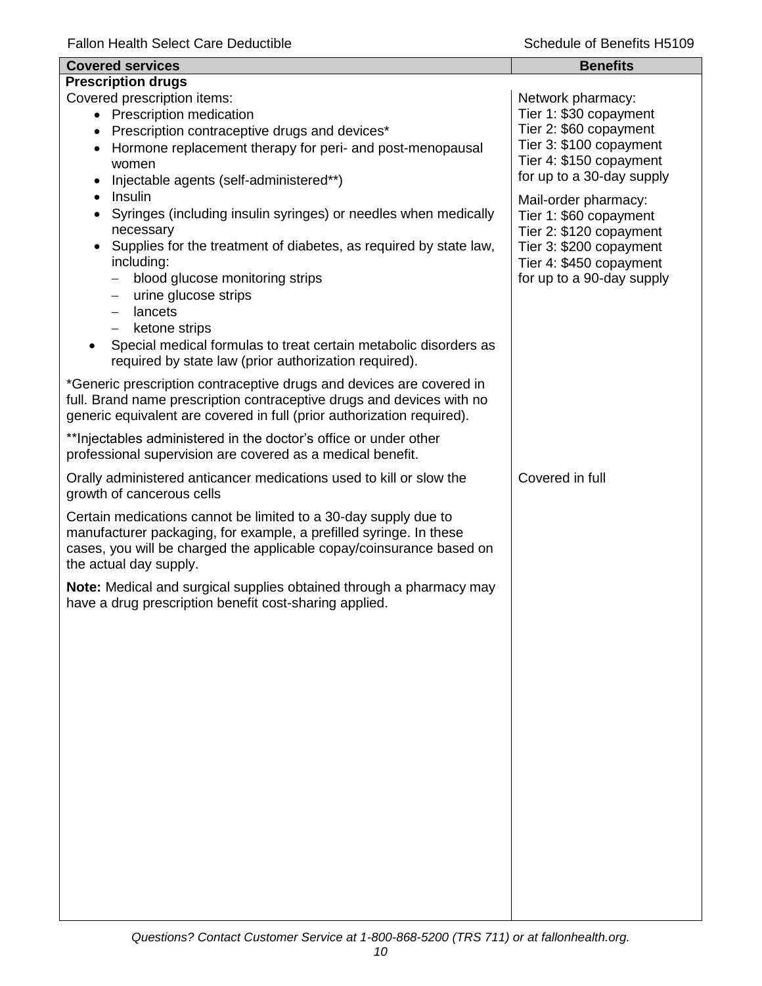| <b>Covered services</b>                                                                                                                                                                                                                                                                                                                                                                                                                                                                         | <b>Benefits</b>                                                                                                                                              |
|-------------------------------------------------------------------------------------------------------------------------------------------------------------------------------------------------------------------------------------------------------------------------------------------------------------------------------------------------------------------------------------------------------------------------------------------------------------------------------------------------|--------------------------------------------------------------------------------------------------------------------------------------------------------------|
| <b>Prescription drugs</b>                                                                                                                                                                                                                                                                                                                                                                                                                                                                       |                                                                                                                                                              |
| Covered prescription items:<br>• Prescription medication<br>Prescription contraceptive drugs and devices*<br>Hormone replacement therapy for peri- and post-menopausal<br>women<br>Injectable agents (self-administered**)                                                                                                                                                                                                                                                                      | Network pharmacy:<br>Tier 1: \$30 copayment<br>Tier 2: \$60 copayment<br>Tier 3: \$100 copayment<br>Tier 4: \$150 copayment<br>for up to a 30-day supply     |
| Insulin<br>$\bullet$<br>Syringes (including insulin syringes) or needles when medically<br>necessary<br>Supplies for the treatment of diabetes, as required by state law,<br>including:<br>blood glucose monitoring strips<br>urine glucose strips<br>$\overline{\phantom{0}}$<br>lancets<br>$\overline{\phantom{m}}$<br>ketone strips<br>$\overline{\phantom{0}}$<br>Special medical formulas to treat certain metabolic disorders as<br>required by state law (prior authorization required). | Mail-order pharmacy:<br>Tier 1: \$60 copayment<br>Tier 2: \$120 copayment<br>Tier 3: \$200 copayment<br>Tier 4: \$450 copayment<br>for up to a 90-day supply |
| *Generic prescription contraceptive drugs and devices are covered in<br>full. Brand name prescription contraceptive drugs and devices with no<br>generic equivalent are covered in full (prior authorization required).                                                                                                                                                                                                                                                                         |                                                                                                                                                              |
| ** Injectables administered in the doctor's office or under other<br>professional supervision are covered as a medical benefit.                                                                                                                                                                                                                                                                                                                                                                 |                                                                                                                                                              |
| Orally administered anticancer medications used to kill or slow the<br>growth of cancerous cells                                                                                                                                                                                                                                                                                                                                                                                                | Covered in full                                                                                                                                              |
| Certain medications cannot be limited to a 30-day supply due to<br>manufacturer packaging, for example, a prefilled syringe. In these<br>cases, you will be charged the applicable copay/coinsurance based on<br>the actual day supply.                                                                                                                                                                                                                                                         |                                                                                                                                                              |
| Note: Medical and surgical supplies obtained through a pharmacy may<br>have a drug prescription benefit cost-sharing applied.                                                                                                                                                                                                                                                                                                                                                                   |                                                                                                                                                              |
|                                                                                                                                                                                                                                                                                                                                                                                                                                                                                                 |                                                                                                                                                              |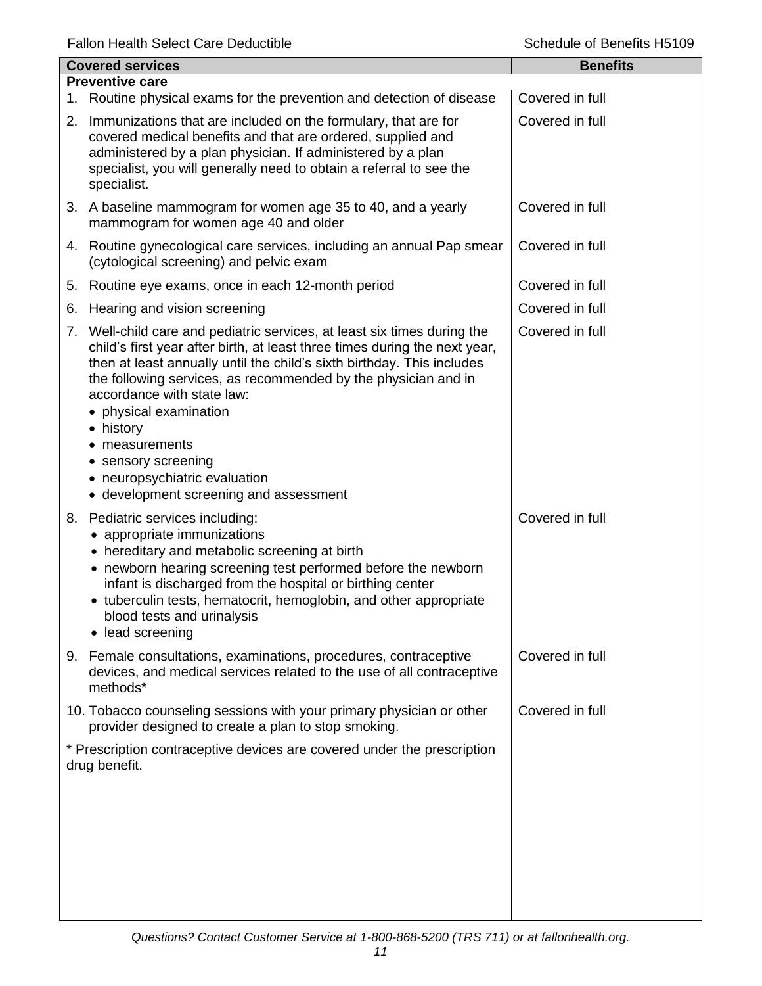| <b>Covered services</b> |                                                                                                                                                                                                                                                                                                                                                                                                                                                                                                         | <b>Benefits</b> |
|-------------------------|---------------------------------------------------------------------------------------------------------------------------------------------------------------------------------------------------------------------------------------------------------------------------------------------------------------------------------------------------------------------------------------------------------------------------------------------------------------------------------------------------------|-----------------|
|                         | <b>Preventive care</b>                                                                                                                                                                                                                                                                                                                                                                                                                                                                                  |                 |
|                         | 1. Routine physical exams for the prevention and detection of disease                                                                                                                                                                                                                                                                                                                                                                                                                                   | Covered in full |
|                         | 2. Immunizations that are included on the formulary, that are for<br>covered medical benefits and that are ordered, supplied and<br>administered by a plan physician. If administered by a plan<br>specialist, you will generally need to obtain a referral to see the<br>specialist.                                                                                                                                                                                                                   | Covered in full |
|                         | 3. A baseline mammogram for women age 35 to 40, and a yearly<br>mammogram for women age 40 and older                                                                                                                                                                                                                                                                                                                                                                                                    | Covered in full |
|                         | 4. Routine gynecological care services, including an annual Pap smear<br>(cytological screening) and pelvic exam                                                                                                                                                                                                                                                                                                                                                                                        | Covered in full |
|                         | 5. Routine eye exams, once in each 12-month period                                                                                                                                                                                                                                                                                                                                                                                                                                                      | Covered in full |
| 6.                      | Hearing and vision screening                                                                                                                                                                                                                                                                                                                                                                                                                                                                            | Covered in full |
|                         | 7. Well-child care and pediatric services, at least six times during the<br>child's first year after birth, at least three times during the next year,<br>then at least annually until the child's sixth birthday. This includes<br>the following services, as recommended by the physician and in<br>accordance with state law:<br>• physical examination<br>• history<br>measurements<br>sensory screening<br>٠<br>neuropsychiatric evaluation<br>$\bullet$<br>• development screening and assessment | Covered in full |
|                         | 8. Pediatric services including:<br>• appropriate immunizations<br>• hereditary and metabolic screening at birth<br>• newborn hearing screening test performed before the newborn<br>infant is discharged from the hospital or birthing center<br>• tuberculin tests, hematocrit, hemoglobin, and other appropriate<br>blood tests and urinalysis<br>• lead screening                                                                                                                                   | Covered in full |
|                         | 9. Female consultations, examinations, procedures, contraceptive<br>devices, and medical services related to the use of all contraceptive<br>methods*                                                                                                                                                                                                                                                                                                                                                   | Covered in full |
|                         | 10. Tobacco counseling sessions with your primary physician or other<br>provider designed to create a plan to stop smoking.                                                                                                                                                                                                                                                                                                                                                                             | Covered in full |
|                         | * Prescription contraceptive devices are covered under the prescription<br>drug benefit.                                                                                                                                                                                                                                                                                                                                                                                                                |                 |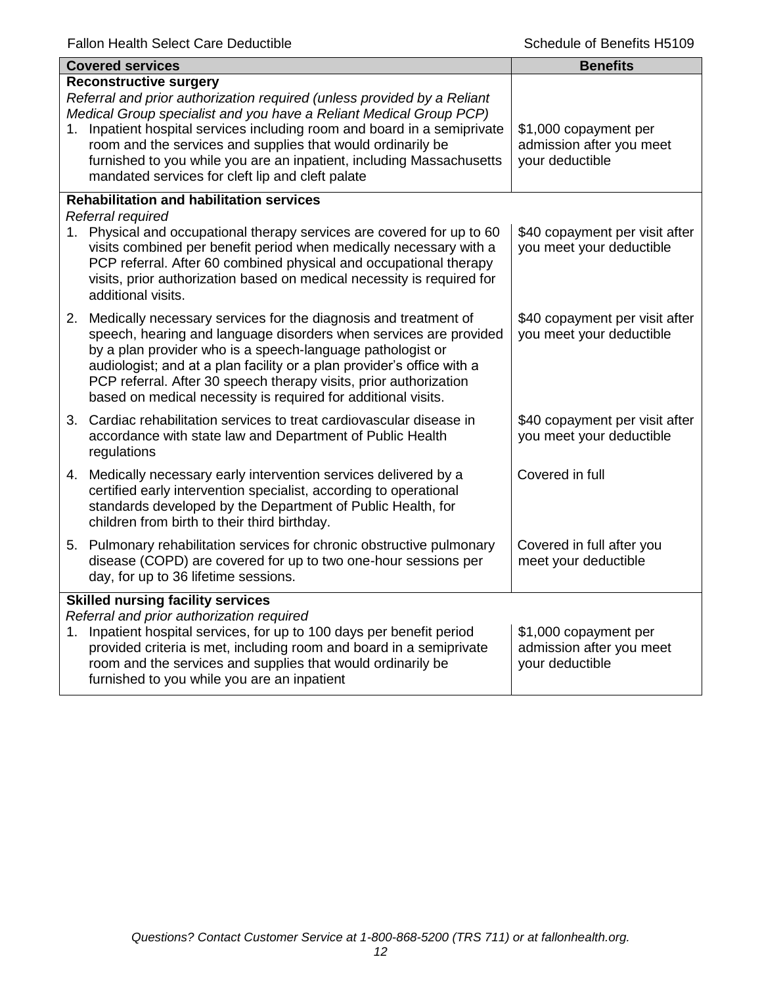| <b>Covered services</b>                                                                                                                                                                                                                                                                                                                                                                                                                               | <b>Benefits</b>                                                      |
|-------------------------------------------------------------------------------------------------------------------------------------------------------------------------------------------------------------------------------------------------------------------------------------------------------------------------------------------------------------------------------------------------------------------------------------------------------|----------------------------------------------------------------------|
| <b>Reconstructive surgery</b><br>Referral and prior authorization required (unless provided by a Reliant<br>Medical Group specialist and you have a Reliant Medical Group PCP)<br>1. Inpatient hospital services including room and board in a semiprivate<br>room and the services and supplies that would ordinarily be<br>furnished to you while you are an inpatient, including Massachusetts<br>mandated services for cleft lip and cleft palate | \$1,000 copayment per<br>admission after you meet<br>your deductible |
| <b>Rehabilitation and habilitation services</b><br>Referral required                                                                                                                                                                                                                                                                                                                                                                                  |                                                                      |
| 1. Physical and occupational therapy services are covered for up to 60<br>visits combined per benefit period when medically necessary with a<br>PCP referral. After 60 combined physical and occupational therapy<br>visits, prior authorization based on medical necessity is required for<br>additional visits.                                                                                                                                     | \$40 copayment per visit after<br>you meet your deductible           |
| 2. Medically necessary services for the diagnosis and treatment of<br>speech, hearing and language disorders when services are provided<br>by a plan provider who is a speech-language pathologist or<br>audiologist; and at a plan facility or a plan provider's office with a<br>PCP referral. After 30 speech therapy visits, prior authorization<br>based on medical necessity is required for additional visits.                                 | \$40 copayment per visit after<br>you meet your deductible           |
| 3. Cardiac rehabilitation services to treat cardiovascular disease in<br>accordance with state law and Department of Public Health<br>regulations                                                                                                                                                                                                                                                                                                     | \$40 copayment per visit after<br>you meet your deductible           |
| 4. Medically necessary early intervention services delivered by a<br>certified early intervention specialist, according to operational<br>standards developed by the Department of Public Health, for<br>children from birth to their third birthday.                                                                                                                                                                                                 | Covered in full                                                      |
| 5. Pulmonary rehabilitation services for chronic obstructive pulmonary<br>disease (COPD) are covered for up to two one-hour sessions per<br>day, for up to 36 lifetime sessions.                                                                                                                                                                                                                                                                      | Covered in full after you<br>meet your deductible                    |
| <b>Skilled nursing facility services</b><br>Referral and prior authorization required<br>1. Inpatient hospital services, for up to 100 days per benefit period<br>provided criteria is met, including room and board in a semiprivate<br>room and the services and supplies that would ordinarily be<br>furnished to you while you are an inpatient                                                                                                   | \$1,000 copayment per<br>admission after you meet<br>your deductible |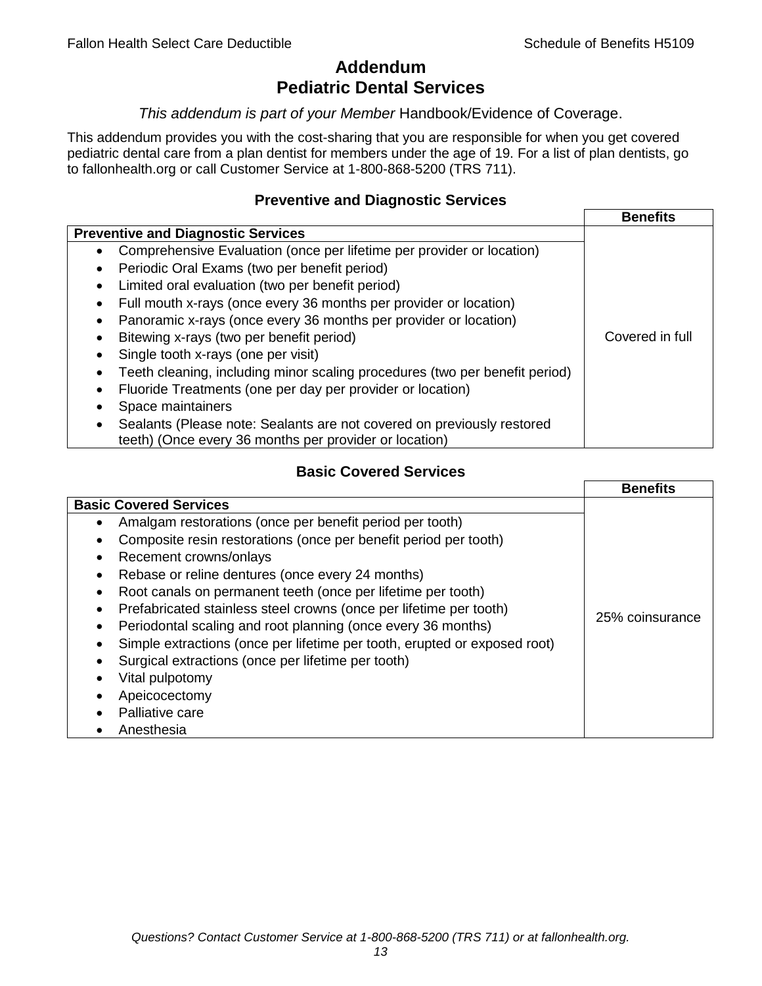# **Addendum Pediatric Dental Services**

### *This addendum is part of your Member* Handbook/Evidence of Coverage.

This addendum provides you with the cost-sharing that you are responsible for when you get covered pediatric dental care from a plan dentist for members under the age of 19. For a list of plan dentists, go to fallonhealth.org or call Customer Service at 1-800-868-5200 (TRS 711).

## **Preventive and Diagnostic Services**

|                                                                                    | <b>Benefits</b> |
|------------------------------------------------------------------------------------|-----------------|
| <b>Preventive and Diagnostic Services</b>                                          |                 |
| Comprehensive Evaluation (once per lifetime per provider or location)<br>$\bullet$ |                 |
| Periodic Oral Exams (two per benefit period)<br>$\bullet$                          |                 |
| Limited oral evaluation (two per benefit period)<br>$\bullet$                      |                 |
| Full mouth x-rays (once every 36 months per provider or location)                  |                 |
| Panoramic x-rays (once every 36 months per provider or location)                   |                 |
| Bitewing x-rays (two per benefit period)<br>٠                                      | Covered in full |
| Single tooth x-rays (one per visit)                                                |                 |
| Teeth cleaning, including minor scaling procedures (two per benefit period)        |                 |
| Fluoride Treatments (one per day per provider or location)<br>٠                    |                 |
| Space maintainers                                                                  |                 |
| Sealants (Please note: Sealants are not covered on previously restored             |                 |
| teeth) (Once every 36 months per provider or location)                             |                 |

## **Basic Covered Services**

|                                                                           | <b>Benefits</b> |
|---------------------------------------------------------------------------|-----------------|
| <b>Basic Covered Services</b>                                             |                 |
| Amalgam restorations (once per benefit period per tooth)                  |                 |
| Composite resin restorations (once per benefit period per tooth)          |                 |
| Recement crowns/onlays                                                    |                 |
| Rebase or reline dentures (once every 24 months)                          |                 |
| Root canals on permanent teeth (once per lifetime per tooth)              |                 |
| Prefabricated stainless steel crowns (once per lifetime per tooth)        |                 |
| Periodontal scaling and root planning (once every 36 months)              | 25% coinsurance |
| Simple extractions (once per lifetime per tooth, erupted or exposed root) |                 |
| Surgical extractions (once per lifetime per tooth)                        |                 |
| Vital pulpotomy                                                           |                 |
| Apeicocectomy                                                             |                 |
| Palliative care                                                           |                 |
| Anesthesia                                                                |                 |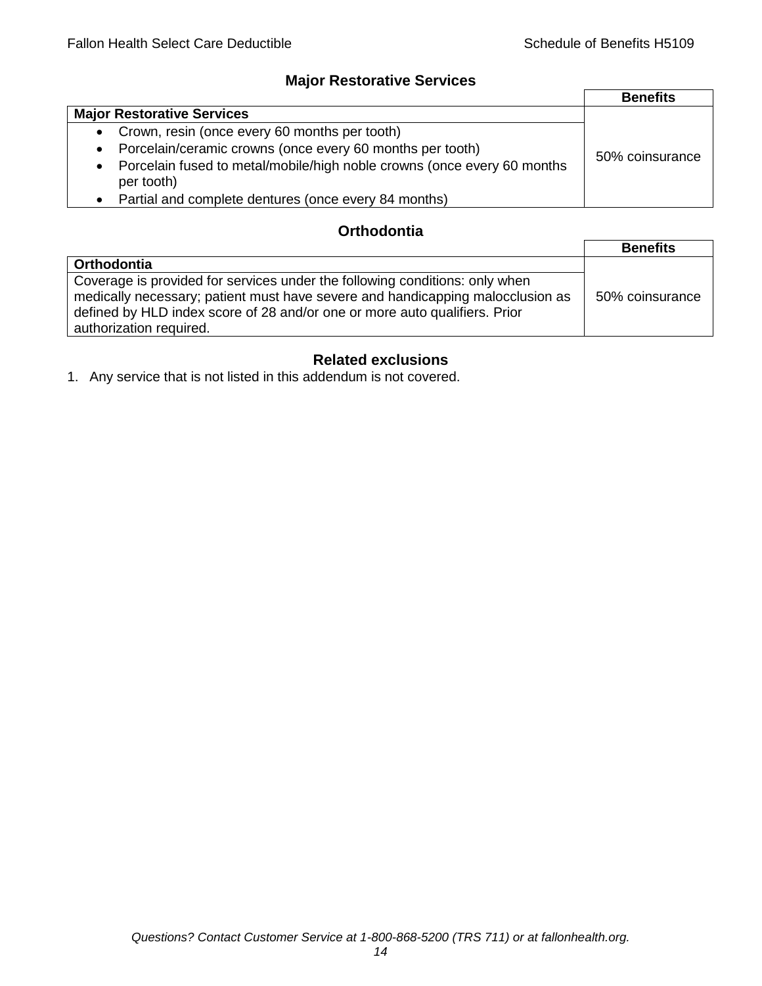## **Major Restorative Services**

|                                                                                                    | <b>Benefits</b> |
|----------------------------------------------------------------------------------------------------|-----------------|
| <b>Major Restorative Services</b>                                                                  |                 |
| • Crown, resin (once every 60 months per tooth)                                                    |                 |
| Porcelain/ceramic crowns (once every 60 months per tooth)<br>$\bullet$                             | 50% coinsurance |
| Porcelain fused to metal/mobile/high noble crowns (once every 60 months<br>$\bullet$<br>per tooth) |                 |
| Partial and complete dentures (once every 84 months)<br>$\bullet$                                  |                 |

## **Orthodontia**

|                                                                                                                                                                                                                                                                        | <b>Benefits</b> |
|------------------------------------------------------------------------------------------------------------------------------------------------------------------------------------------------------------------------------------------------------------------------|-----------------|
| <b>Orthodontia</b>                                                                                                                                                                                                                                                     |                 |
| Coverage is provided for services under the following conditions: only when<br>medically necessary; patient must have severe and handicapping malocclusion as<br>defined by HLD index score of 28 and/or one or more auto qualifiers. Prior<br>authorization required. | 50% coinsurance |

## **Related exclusions**

1. Any service that is not listed in this addendum is not covered.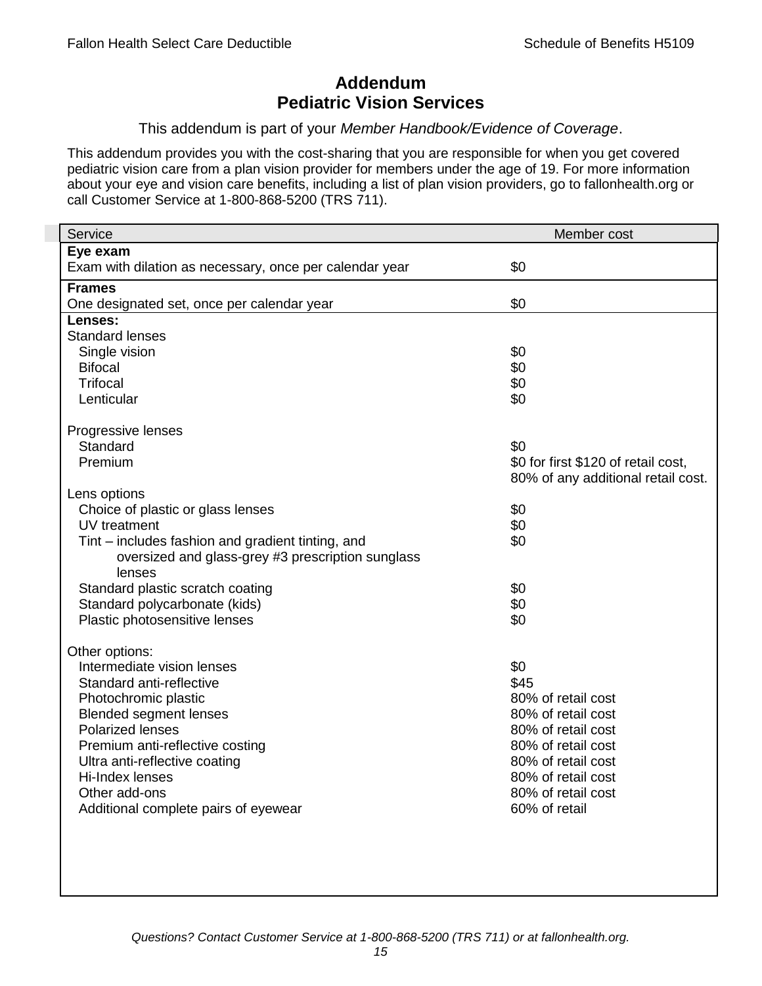# **Addendum Pediatric Vision Services**

### This addendum is part of your *Member Handbook/Evidence of Coverage*.

This addendum provides you with the cost-sharing that you are responsible for when you get covered pediatric vision care from a plan vision provider for members under the age of 19. For more information about your eye and vision care benefits, including a list of plan vision providers, go to fallonhealth.org or call Customer Service at 1-800-868-5200 (TRS 711).

| Service                                                 | Member cost                         |
|---------------------------------------------------------|-------------------------------------|
| Eye exam                                                |                                     |
| Exam with dilation as necessary, once per calendar year | \$0                                 |
| <b>Frames</b>                                           |                                     |
| One designated set, once per calendar year              | \$0                                 |
| Lenses:                                                 |                                     |
| <b>Standard lenses</b>                                  |                                     |
| Single vision                                           | \$0                                 |
| <b>Bifocal</b>                                          | \$0                                 |
| <b>Trifocal</b>                                         | \$0                                 |
| Lenticular                                              | \$0                                 |
| Progressive lenses                                      |                                     |
| Standard                                                | \$0                                 |
| Premium                                                 | \$0 for first \$120 of retail cost, |
|                                                         | 80% of any additional retail cost.  |
| Lens options                                            |                                     |
| Choice of plastic or glass lenses                       | \$0                                 |
| UV treatment                                            | \$0                                 |
| Tint – includes fashion and gradient tinting, and       | \$0                                 |
| oversized and glass-grey #3 prescription sunglass       |                                     |
| lenses                                                  |                                     |
| Standard plastic scratch coating                        | \$0                                 |
| Standard polycarbonate (kids)                           | \$0                                 |
| Plastic photosensitive lenses                           | \$0                                 |
|                                                         |                                     |
| Other options:<br>Intermediate vision lenses            | \$0                                 |
| Standard anti-reflective                                | \$45                                |
| Photochromic plastic                                    | 80% of retail cost                  |
| <b>Blended segment lenses</b>                           | 80% of retail cost                  |
| <b>Polarized lenses</b>                                 | 80% of retail cost                  |
| Premium anti-reflective costing                         | 80% of retail cost                  |
| Ultra anti-reflective coating                           | 80% of retail cost                  |
| Hi-Index lenses                                         | 80% of retail cost                  |
| Other add-ons                                           | 80% of retail cost                  |
| Additional complete pairs of eyewear                    | 60% of retail                       |
|                                                         |                                     |
|                                                         |                                     |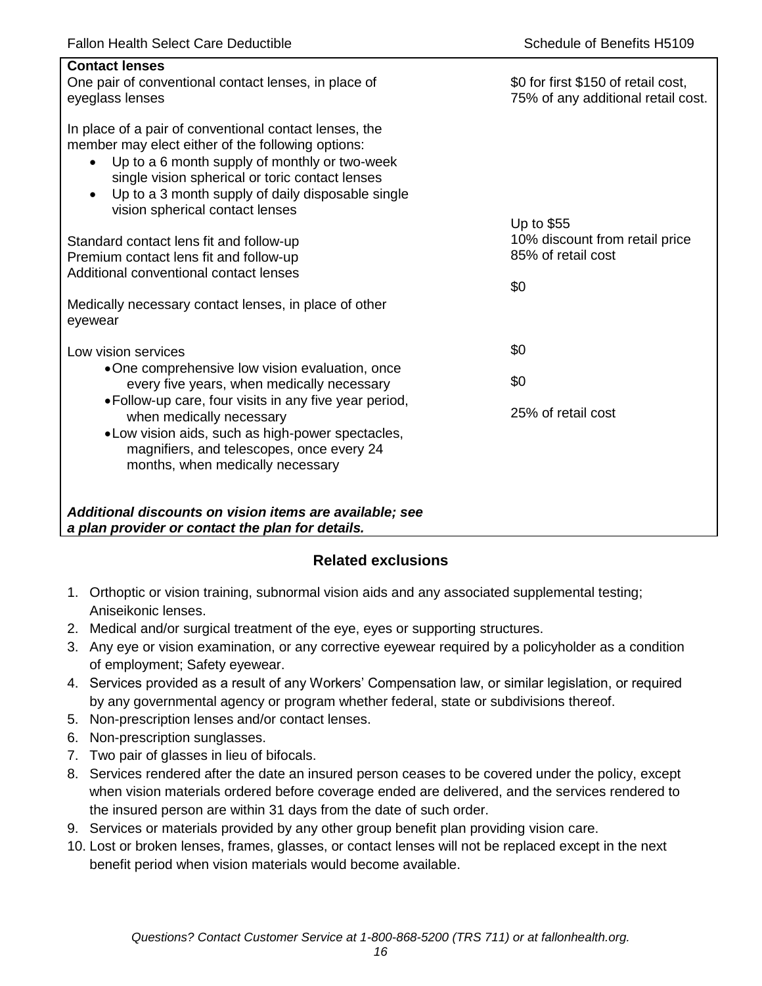| <b>Contact lenses</b><br>One pair of conventional contact lenses, in place of<br>eyeglass lenses                                                                                                                                                                                                                                  | \$0 for first \$150 of retail cost,<br>75% of any additional retail cost. |
|-----------------------------------------------------------------------------------------------------------------------------------------------------------------------------------------------------------------------------------------------------------------------------------------------------------------------------------|---------------------------------------------------------------------------|
| In place of a pair of conventional contact lenses, the<br>member may elect either of the following options:<br>Up to a 6 month supply of monthly or two-week<br>$\bullet$<br>single vision spherical or toric contact lenses<br>Up to a 3 month supply of daily disposable single<br>$\bullet$<br>vision spherical contact lenses |                                                                           |
| Standard contact lens fit and follow-up                                                                                                                                                                                                                                                                                           | Up to \$55<br>10% discount from retail price                              |
| Premium contact lens fit and follow-up                                                                                                                                                                                                                                                                                            | 85% of retail cost                                                        |
| Additional conventional contact lenses                                                                                                                                                                                                                                                                                            | \$0                                                                       |
| Medically necessary contact lenses, in place of other<br>eyewear                                                                                                                                                                                                                                                                  |                                                                           |
| Low vision services                                                                                                                                                                                                                                                                                                               | \$0                                                                       |
| •One comprehensive low vision evaluation, once<br>every five years, when medically necessary                                                                                                                                                                                                                                      | \$0                                                                       |
| • Follow-up care, four visits in any five year period,<br>when medically necessary<br>. Low vision aids, such as high-power spectacles,<br>magnifiers, and telescopes, once every 24<br>months, when medically necessary                                                                                                          | 25% of retail cost                                                        |
| Additional discounts on vision items are available; see<br>a plan provider or contact the plan for details.                                                                                                                                                                                                                       |                                                                           |

## **Related exclusions**

- 1. Orthoptic or vision training, subnormal vision aids and any associated supplemental testing; Aniseikonic lenses.
- 2. Medical and/or surgical treatment of the eye, eyes or supporting structures.
- 3. Any eye or vision examination, or any corrective eyewear required by a policyholder as a condition of employment; Safety eyewear.
- 4. Services provided as a result of any Workers' Compensation law, or similar legislation, or required by any governmental agency or program whether federal, state or subdivisions thereof.
- 5. Non-prescription lenses and/or contact lenses.
- 6. Non-prescription sunglasses.
- 7. Two pair of glasses in lieu of bifocals.
- 8. Services rendered after the date an insured person ceases to be covered under the policy, except when vision materials ordered before coverage ended are delivered, and the services rendered to the insured person are within 31 days from the date of such order.
- 9. Services or materials provided by any other group benefit plan providing vision care.
- 10. Lost or broken lenses, frames, glasses, or contact lenses will not be replaced except in the next benefit period when vision materials would become available.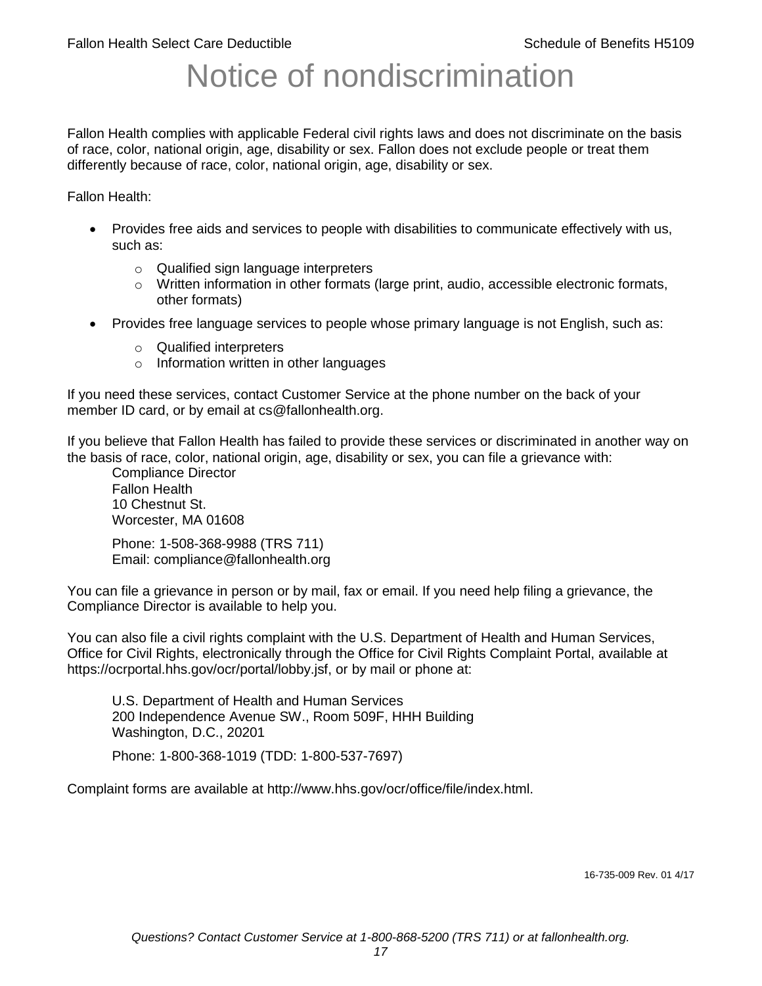# Notice of nondiscrimination

Fallon Health complies with applicable Federal civil rights laws and does not discriminate on the basis of race, color, national origin, age, disability or sex. Fallon does not exclude people or treat them differently because of race, color, national origin, age, disability or sex.

Fallon Health:

- Provides free aids and services to people with disabilities to communicate effectively with us, such as:
	- o Qualified sign language interpreters
	- $\circ$  Written information in other formats (large print, audio, accessible electronic formats, other formats)
- Provides free language services to people whose primary language is not English, such as:
	- o Qualified interpreters
	- o Information written in other languages

If you need these services, contact Customer Service at the phone number on the back of your member ID card, or by email at cs@fallonhealth.org.

If you believe that Fallon Health has failed to provide these services or discriminated in another way on the basis of race, color, national origin, age, disability or sex, you can file a grievance with:

Compliance Director Fallon Health 10 Chestnut St. Worcester, MA 01608

Phone: 1-508-368-9988 (TRS 711) Email: compliance@fallonhealth.org

You can file a grievance in person or by mail, fax or email. If you need help filing a grievance, the Compliance Director is available to help you.

You can also file a civil rights complaint with the U.S. Department of Health and Human Services, Office for Civil Rights, electronically through the Office for Civil Rights Complaint Portal, available at https://ocrportal.hhs.gov/ocr/portal/lobby.jsf, or by mail or phone at:

U.S. Department of Health and Human Services 200 Independence Avenue SW., Room 509F, HHH Building Washington, D.C., 20201

Phone: 1-800-368-1019 (TDD: 1-800-537-7697)

Complaint forms are available at http://www.hhs.gov/ocr/office/file/index.html.

16-735-009 Rev. 01 4/17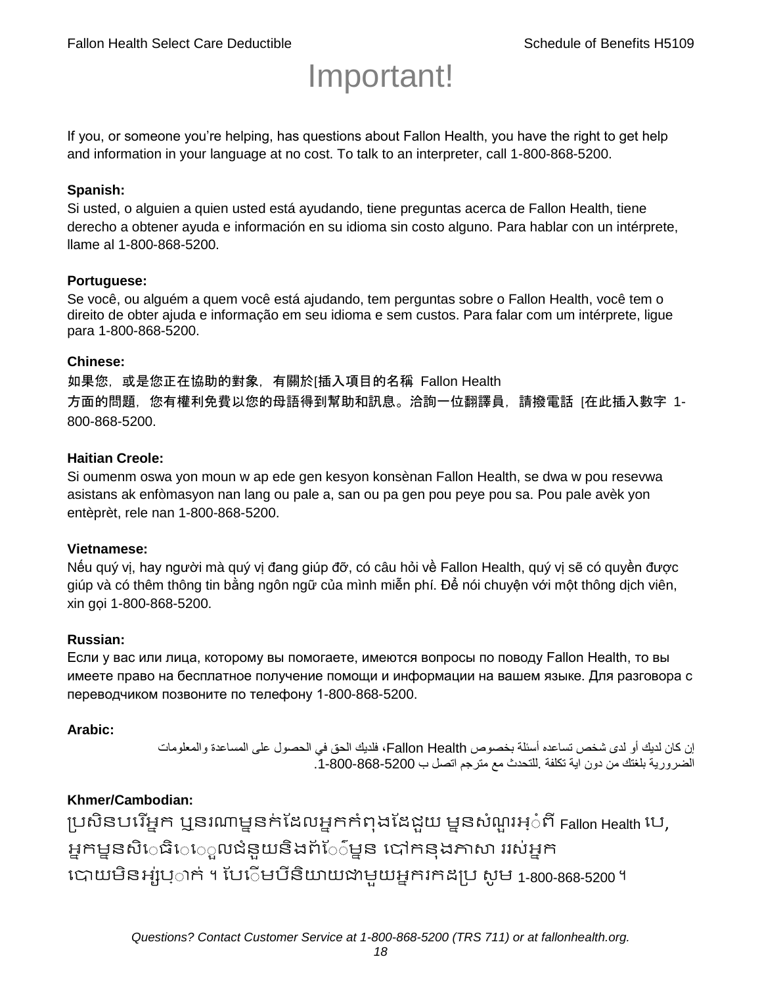# Important!

If you, or someone you're helping, has questions about Fallon Health, you have the right to get help and information in your language at no cost. To talk to an interpreter, call 1-800-868-5200.

#### **Spanish:**

Si usted, o alguien a quien usted está ayudando, tiene preguntas acerca de Fallon Health, tiene derecho a obtener ayuda e información en su idioma sin costo alguno. Para hablar con un intérprete, llame al 1-800-868-5200.

#### **Portuguese:**

Se você, ou alguém a quem você está ajudando, tem perguntas sobre o Fallon Health, você tem o direito de obter ajuda e informação em seu idioma e sem custos. Para falar com um intérprete, ligue para 1-800-868-5200.

#### **Chinese:**

如果您,或是您正在協助的對象,有關於[插入項目的名稱 Fallon Health 方面的問題, 您有權利免費以您的母語得到幫助和訊息。洽詢一位翻譯員, 請撥電話 [在此插入數字 1-800-868-5200.

#### **Haitian Creole:**

Si oumenm oswa yon moun w ap ede gen kesyon konsènan Fallon Health, se dwa w pou resevwa asistans ak enfòmasyon nan lang ou pale a, san ou pa gen pou peye pou sa. Pou pale avèk yon entèprèt, rele nan 1-800-868-5200.

#### **Vietnamese:**

Nếu quý vị, hay người mà quý vị đang giúp đỡ, có câu hỏi về Fallon Health, quý vị sẽ có quyền được giúp và có thêm thông tin bằng ngôn ngữ của mình miễn phí. Để nói chuyện với một thông dịch viên, xin gọi 1-800-868-5200.

#### **Russian:**

Если у вас или лица, которому вы помогаете, имеются вопросы по поводу Fallon Health, то вы имеете право на бесплатное получение помощи и информации на вашем языке. Для разговора с переводчиком позвоните по телефону 1-800-868-5200.

#### **Arabic:**

إن كان لديك أو لدى شخص تساعده أسئلة بخصوص Health Fallon، فلديك الحق في الحصول على المساعدة والمعلومات الضرورية بلغتك من دون اية تكلفة .للتحدث مع مترجم اتصل ب .1-800-868-5200

## **Khmer/Cambodian:**

ប្រសិនបរើអ្នក ឬនរណាម្ននក់ដែលអ្នកកំពុងដែជយ ម្ននសំណួរអ្៎ពី Fallon Health រប, អ្នកម្ននសិេធិេ្រុលជំនួយនិងព័ែ៌ម្នន បៅកនុងភាសា ររស់អ្នក រោយម្ិនអ្ស់រ្ំ ក់ ។ ដររំម្ រនី ិយាយជាម្ួយអ្នក កែប្រ សូ ម្ 1-800-868-5200 ។